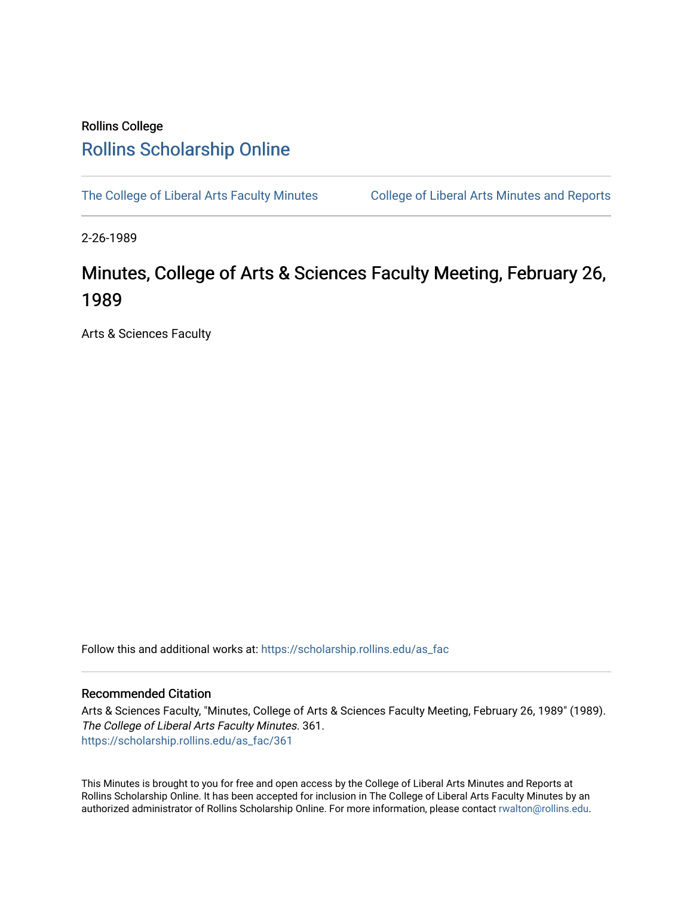# Rollins College [Rollins Scholarship Online](https://scholarship.rollins.edu/)

[The College of Liberal Arts Faculty Minutes](https://scholarship.rollins.edu/as_fac) College of Liberal Arts Minutes and Reports

2-26-1989

# Minutes, College of Arts & Sciences Faculty Meeting, February 26, 1989

Arts & Sciences Faculty

Follow this and additional works at: [https://scholarship.rollins.edu/as\\_fac](https://scholarship.rollins.edu/as_fac?utm_source=scholarship.rollins.edu%2Fas_fac%2F361&utm_medium=PDF&utm_campaign=PDFCoverPages) 

## Recommended Citation

Arts & Sciences Faculty, "Minutes, College of Arts & Sciences Faculty Meeting, February 26, 1989" (1989). The College of Liberal Arts Faculty Minutes. 361. [https://scholarship.rollins.edu/as\\_fac/361](https://scholarship.rollins.edu/as_fac/361?utm_source=scholarship.rollins.edu%2Fas_fac%2F361&utm_medium=PDF&utm_campaign=PDFCoverPages) 

This Minutes is brought to you for free and open access by the College of Liberal Arts Minutes and Reports at Rollins Scholarship Online. It has been accepted for inclusion in The College of Liberal Arts Faculty Minutes by an authorized administrator of Rollins Scholarship Online. For more information, please contact [rwalton@rollins.edu](mailto:rwalton@rollins.edu).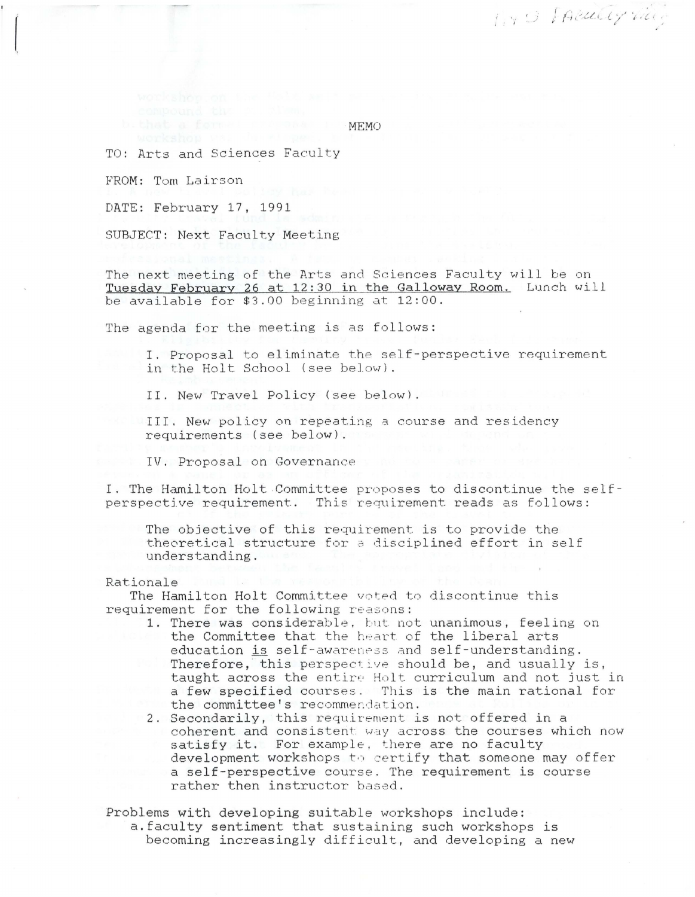IND FACULTY WAY

MEMO

TO: Arts and Sciences Faculty

FROM: Tom Lairson

DATE: February 17, 1991

SUBJECT: Next Faculty Meeting

The next meeting of the Arts and Sciences Faculty will be on Tuesday February 26 at 12:30 in the Galloway Room. Lunch will be available for  $$3.00$  beginning at  $12:00$ .

The agenda for the meeting is as follows:

I. Proposal to eliminate the self-perspective requirement in the Holt School (see below).

II. New Travel Policy (see below).

III. New policy on repeating~ course and residency requirements (see below).

IV. Proposal on Governance

I. The Hamilton Holt Committee proposes to discontinue the selfperspective requirement. This requirement reads as follows:

The objective of this requirement is to provide the theoretical structure for a disciplined effort in self understanding.

#### Rationale

The Hamilton Holt Committee voted to discontinue this requirement for the following reasons:

- 1. There was considerable, but not unanimous, feeling on the Committee that the heart of the liberal arts education is self-awareness and self-understanding. Therefore, this perspective should be, and usually is, taught across the entire Holt curriculum and not just in a few specified courses. This is the main rational for the committee's recommendation.
- 2. Secondarily, this requirement is not offered in a coherent and consistent way across the courses which now satisfy it. For example, there are no faculty development workshops to certify that someone may offer a self-perspective course. The requirement is course rather then instructor based.

Problems with developing suitable workshops include: a.faculty sentiment that sustaining such workshops is becoming increasingly difficult, and developing a new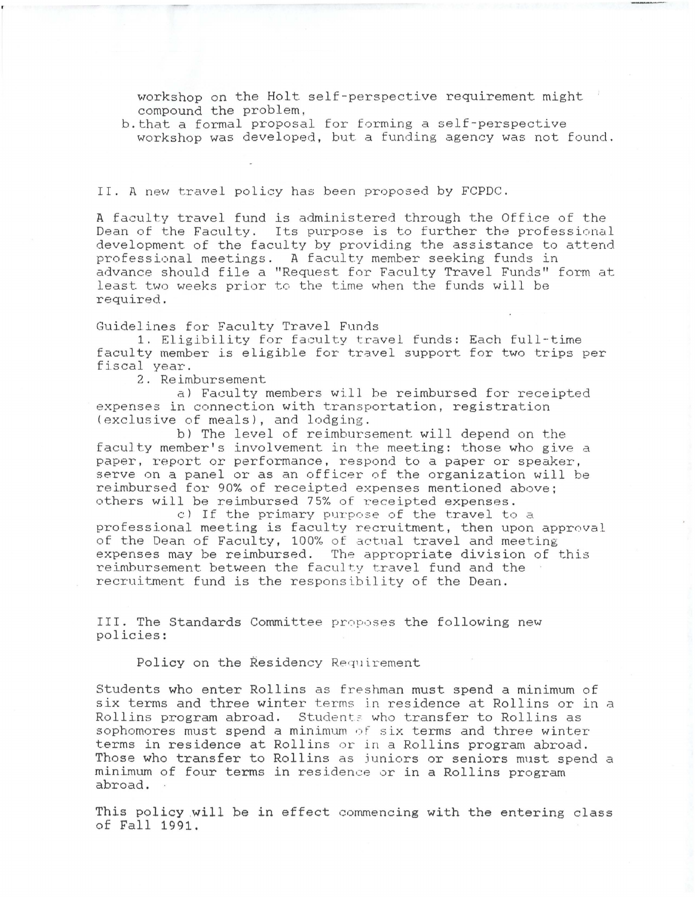workshop on the Holt self-perspective requirement might compound the problem,

b.that a formal proposal for forming a self-perspective workshop was developed, but a funding agency was not found.

II. A new travel policy has been proposed by FCPDC.

A faculty travel fund is administered through the Office of the Dean of the Faculty. Its purpose is to further the professional development of the faculty by providing the assistance to attend professional meetings. A faculty member seeking funds in advance should file a "Request for Faculty Travel Funds" form at least two weeks prior to the time when the funds will be required.

Guidelines for Faculty Travel Funds

1. Eligibility for faculty travel funds: Each full-time faculty member is eligible for travel support for two trips per fiscal year.

2. Reimbursement

a) Faculty members will be reimbursed for receipted expenses in connection with transportation, registration (exclusive of meals), and lodging.

bl The level of reimbursement will depend on the faculty member's involvement in the meeting: those who give a paper, report or performance, respond to a paper or speaker, serve on a panel or as an officer of the organization will be reimbursed for 90% of receipted expenses mentioned above; others will be reimbursed 75% of receipted expenses.

cl If the primary purpose of the travel to a professional meeting is faculty recruitment, then upon approval of the Dean of Faculty, 100% of actual travel and meeting expenses may be reimbursed. The appropriate division of this reimbursement between the faculty travel fund and the recruitment fund is the responsibility of the Dean.

III. The Standards Committee proposes the following new policies:

Policy on the Residency Requirement

Students who enter Rollins as freshman must spend a minimum of six terms and three winter terms in residence at Rollins or in a Rollins program abroad. Students who transfer to Rollins as sophomores must spend a minimum of six terms and three winter terms in residence at Rollins or in a Rollins program abroad. Those who transfer to Rollins as juniors or seniors must spend a minimum of four terms in residence or in a Rollins program abroad.

This policy .will be in effect commencing with the entering class of Fall 1991.